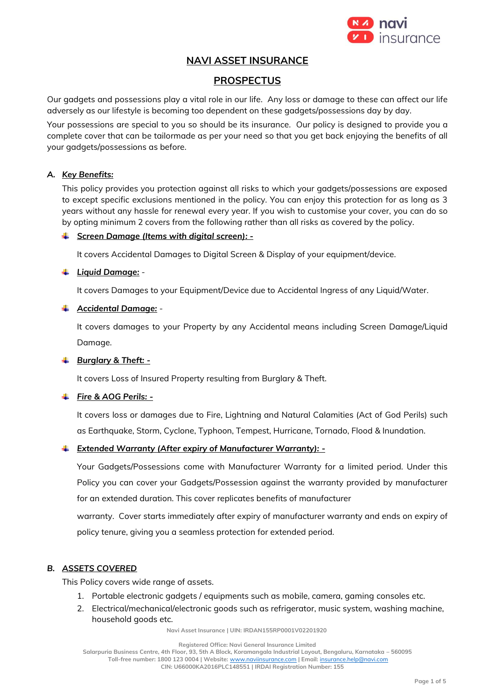

# **NAVI ASSET INSURANCE**

# **PROSPECTUS**

Our gadgets and possessions play a vital role in our life. Any loss or damage to these can affect our life adversely as our lifestyle is becoming too dependent on these gadgets/possessions day by day.

Your possessions are special to you so should be its insurance. Our policy is designed to provide you a complete cover that can be tailormade as per your need so that you get back enjoying the benefits of all your gadgets/possessions as before.

### *A. Key Benefits:*

This policy provides you protection against all risks to which your gadgets/possessions are exposed to except specific exclusions mentioned in the policy. You can enjoy this protection for as long as 3 years without any hassle for renewal every year. If you wish to customise your cover, you can do so by opting minimum 2 covers from the following rather than all risks as covered by the policy.

# *Screen Damage (Items with digital screen): -*

It covers Accidental Damages to Digital Screen & Display of your equipment/device.

# *Liquid Damage:* -

It covers Damages to your Equipment/Device due to Accidental Ingress of any Liquid/Water.

# *Accidental Damage:* -

It covers damages to your Property by any Accidental means including Screen Damage/Liquid Damage.

### *Burglary & Theft: -*

It covers Loss of Insured Property resulting from Burglary & Theft.

# *Fire & AOG Perils: -*

It covers loss or damages due to Fire, Lightning and Natural Calamities (Act of God Perils) such as Earthquake, Storm, Cyclone, Typhoon, Tempest, Hurricane, Tornado, Flood & Inundation.

#### *Extended Warranty (After expiry of Manufacturer Warranty): -*

Your Gadgets/Possessions come with Manufacturer Warranty for a limited period. Under this Policy you can cover your Gadgets/Possession against the warranty provided by manufacturer for an extended duration. This cover replicates benefits of manufacturer

warranty. Cover starts immediately after expiry of manufacturer warranty and ends on expiry of policy tenure, giving you a seamless protection for extended period.

### *B. ASSETS COVERED*

This Policy covers wide range of assets.

- 1. Portable electronic gadgets / equipments such as mobile, camera, gaming consoles etc.
- 2. Electrical/mechanical/electronic goods such as refrigerator, music system, washing machine, household goods etc.

**Navi Asset Insurance | UIN: IRDAN155RP0001V02201920**

**Registered Office: Navi General Insurance Limited**

**Salarpuria Business Centre, 4th Floor, 93, 5th A Block, Koramangala Industrial Layout, Bengaluru, Karnataka – 560095 Toll-free number: 1800 123 0004 | Website:** [www.naviinsurance.com](http://www.naviinsurance.com/) **| Email:** [insurance.help@navi.com](mailto:insurance.help@navi.com)

**CIN: U66000KA2016PLC148551 | IRDAI Registration Number: 155**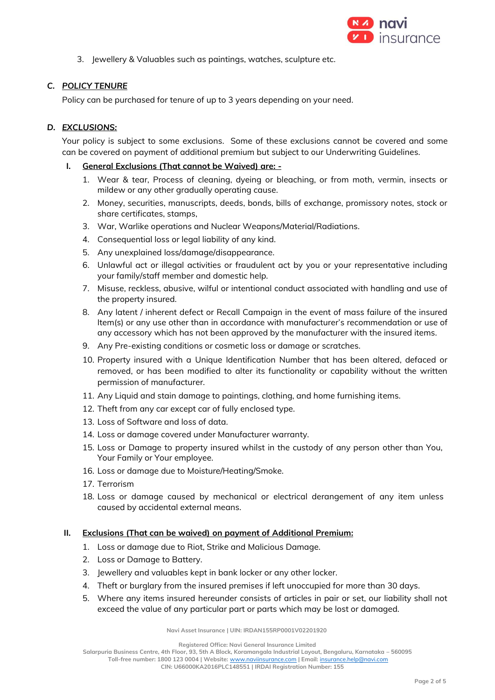

3. Jewellery & Valuables such as paintings, watches, sculpture etc.

# *C. POLICY TENURE*

Policy can be purchased for tenure of up to 3 years depending on your need.

#### *D. EXCLUSIONS:*

Your policy is subject to some exclusions. Some of these exclusions cannot be covered and some can be covered on payment of additional premium but subject to our Underwriting Guidelines.

#### **I. General Exclusions (That cannot be Waived) are: -**

- 1. Wear & tear, Process of cleaning, dyeing or bleaching, or from moth, vermin, insects or mildew or any other gradually operating cause.
- 2. Money, securities, manuscripts, deeds, bonds, bills of exchange, promissory notes, stock or share certificates, stamps,
- 3. War, Warlike operations and Nuclear Weapons/Material/Radiations.
- 4. Consequential loss or legal liability of any kind.
- 5. Any unexplained loss/damage/disappearance.
- 6. Unlawful act or illegal activities or fraudulent act by you or your representative including your family/staff member and domestic help.
- 7. Misuse, reckless, abusive, wilful or intentional conduct associated with handling and use of the property insured.
- 8. Any latent / inherent defect or Recall Campaign in the event of mass failure of the insured Item(s) or any use other than in accordance with manufacturer's recommendation or use of any accessory which has not been approved by the manufacturer with the insured items.
- 9. Any Pre-existing conditions or cosmetic loss or damage or scratches.
- 10. Property insured with a Unique Identification Number that has been altered, defaced or removed, or has been modified to alter its functionality or capability without the written permission of manufacturer.
- 11. Any Liquid and stain damage to paintings, clothing, and home furnishing items.
- 12. Theft from any car except car of fully enclosed type.
- 13. Loss of Software and loss of data.
- 14. Loss or damage covered under Manufacturer warranty.
- 15. Loss or Damage to property insured whilst in the custody of any person other than You, Your Family or Your employee.
- 16. Loss or damage due to Moisture/Heating/Smoke.
- 17. Terrorism
- 18. Loss or damage caused by mechanical or electrical derangement of any item unless caused by accidental external means.

### **II. Exclusions (That can be waived) on payment of Additional Premium:**

- 1. Loss or damage due to Riot, Strike and Malicious Damage.
- 2. Loss or Damage to Battery.
- 3. Jewellery and valuables kept in bank locker or any other locker.
- 4. Theft or burglary from the insured premises if left unoccupied for more than 30 days.
- 5. Where any items insured hereunder consists of articles in pair or set, our liability shall not exceed the value of any particular part or parts which may be lost or damaged.

**Navi Asset Insurance | UIN: IRDAN155RP0001V02201920**

**Registered Office: Navi General Insurance Limited**

**Salarpuria Business Centre, 4th Floor, 93, 5th A Block, Koramangala Industrial Layout, Bengaluru, Karnataka – 560095**

**Toll-free number: 1800 123 0004 | Website:** [www.naviinsurance.com](http://www.naviinsurance.com/) **| Email:** [insurance.help@navi.com](mailto:insurance.help@navi.com)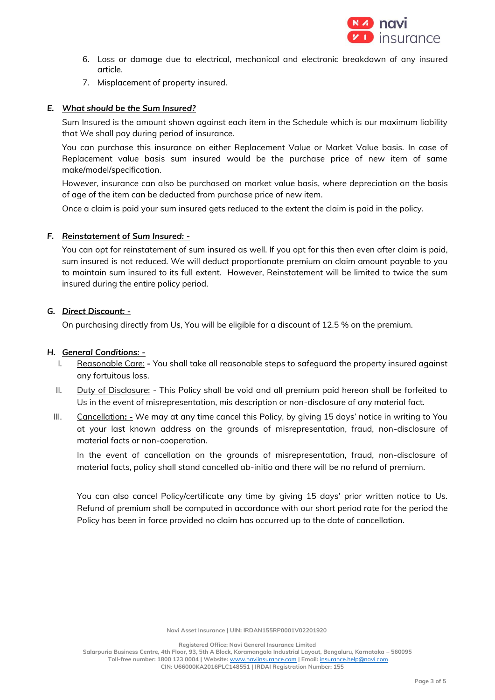

- 6. Loss or damage due to electrical, mechanical and electronic breakdown of any insured article.
- 7. Misplacement of property insured.

#### *E. What should be the Sum Insured?*

Sum Insured is the amount shown against each item in the Schedule which is our maximum liability that We shall pay during period of insurance.

You can purchase this insurance on either Replacement Value or Market Value basis. In case of Replacement value basis sum insured would be the purchase price of new item of same make/model/specification.

However, insurance can also be purchased on market value basis, where depreciation on the basis of age of the item can be deducted from purchase price of new item.

Once a claim is paid your sum insured gets reduced to the extent the claim is paid in the policy.

#### *F. Reinstatement of Sum Insured: -*

You can opt for reinstatement of sum insured as well. If you opt for this then even after claim is paid, sum insured is not reduced. We will deduct proportionate premium on claim amount payable to you to maintain sum insured to its full extent. However, Reinstatement will be limited to twice the sum insured during the entire policy period.

#### *G. Direct Discount: -*

On purchasing directly from Us, You will be eligible for a discount of 12.5 % on the premium.

#### *H. General Conditions: -*

- I. Reasonable Care: **-** You shall take all reasonable steps to safeguard the property insured against any fortuitous loss.
- II. Duty of Disclosure: This Policy shall be void and all premium paid hereon shall be forfeited to Us in the event of misrepresentation, mis description or non-disclosure of any material fact.
- III. Cancellation**: -** We may at any time cancel this Policy, by giving 15 days' notice in writing to You at your last known address on the grounds of misrepresentation, fraud, non-disclosure of material facts or non-cooperation.

In the event of cancellation on the grounds of misrepresentation, fraud, non-disclosure of material facts, policy shall stand cancelled ab-initio and there will be no refund of premium.

You can also cancel Policy/certificate any time by giving 15 days' prior written notice to Us. Refund of premium shall be computed in accordance with our short period rate for the period the Policy has been in force provided no claim has occurred up to the date of cancellation.

**Navi Asset Insurance | UIN: IRDAN155RP0001V02201920**

**Registered Office: Navi General Insurance Limited**

**Salarpuria Business Centre, 4th Floor, 93, 5th A Block, Koramangala Industrial Layout, Bengaluru, Karnataka – 560095 Toll-free number: 1800 123 0004 | Website:** [www.naviinsurance.com](http://www.naviinsurance.com/) **| Email:** [insurance.help@navi.com](mailto:insurance.help@navi.com) **CIN: U66000KA2016PLC148551 | IRDAI Registration Number: 155**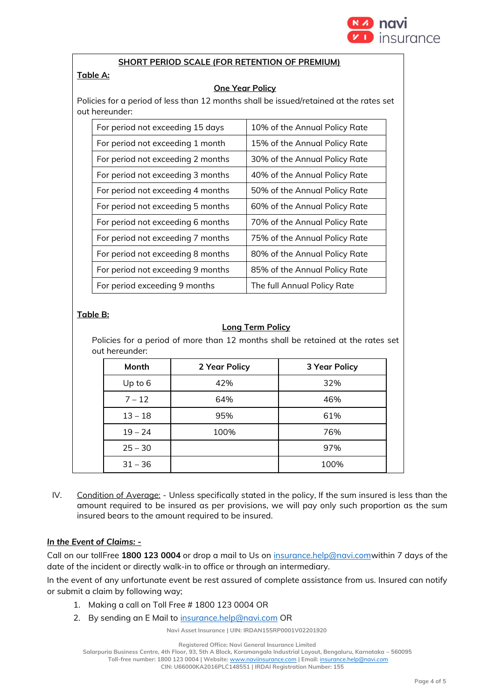

#### **SHORT PERIOD SCALE (FOR RETENTION OF PREMIUM)**

# **Table A:**

### **One Year Policy**

Policies for a period of less than 12 months shall be issued/retained at the rates set out hereunder:

| For period not exceeding 15 days  | 10% of the Annual Policy Rate |  |
|-----------------------------------|-------------------------------|--|
| For period not exceeding 1 month  | 15% of the Annual Policy Rate |  |
| For period not exceeding 2 months | 30% of the Annual Policy Rate |  |
| For period not exceeding 3 months | 40% of the Annual Policy Rate |  |
| For period not exceeding 4 months | 50% of the Annual Policy Rate |  |
| For period not exceeding 5 months | 60% of the Annual Policy Rate |  |
| For period not exceeding 6 months | 70% of the Annual Policy Rate |  |
| For period not exceeding 7 months | 75% of the Annual Policy Rate |  |
| For period not exceeding 8 months | 80% of the Annual Policy Rate |  |
| For period not exceeding 9 months | 85% of the Annual Policy Rate |  |
| For period exceeding 9 months     | The full Annual Policy Rate   |  |

# **Table B:**

# **Long Term Policy**

Policies for a period of more than 12 months shall be retained at the rates set out hereunder:

| Month     | 2 Year Policy | <b>3 Year Policy</b> |
|-----------|---------------|----------------------|
| Up to 6   | 42%           | 32%                  |
| $7 - 12$  | 64%           | 46%                  |
| $13 - 18$ | 95%           | 61%                  |
| $19 - 24$ | 100%          | 76%                  |
| $25 - 30$ |               | 97%                  |
| $31 - 36$ |               | 100%                 |

IV. Condition of Average: - Unless specifically stated in the policy, If the sum insured is less than the amount required to be insured as per provisions, we will pay only such proportion as the sum insured bears to the amount required to be insured.

# *In the Event of Claims: -*

Call on our tollFree **1800 123 0004** or drop a mail to Us on [insurance.help@navi.comw](mailto:insurance.help@navi.com)ithin 7 days of the date of the incident or directly walk-in to office or through an intermediary.

In the event of any unfortunate event be rest assured of complete assistance from us. Insured can notify or submit a claim by following way;

- 1. Making a call on Toll Free # 1800 123 0004 OR
- 2. By sending an E Mail to [insurance.help@navi.com](mailto:insurance.help@navi.com) OR

**Navi Asset Insurance | UIN: IRDAN155RP0001V02201920**

**Registered Office: Navi General Insurance Limited**

**Salarpuria Business Centre, 4th Floor, 93, 5th A Block, Koramangala Industrial Layout, Bengaluru, Karnataka – 560095**

**Toll-free number: 1800 123 0004 | Website:** [www.naviinsurance.com](http://www.naviinsurance.com/) **| Email:** [insurance.help@navi.com](mailto:insurance.help@navi.com) **CIN: U66000KA2016PLC148551 | IRDAI Registration Number: 155**